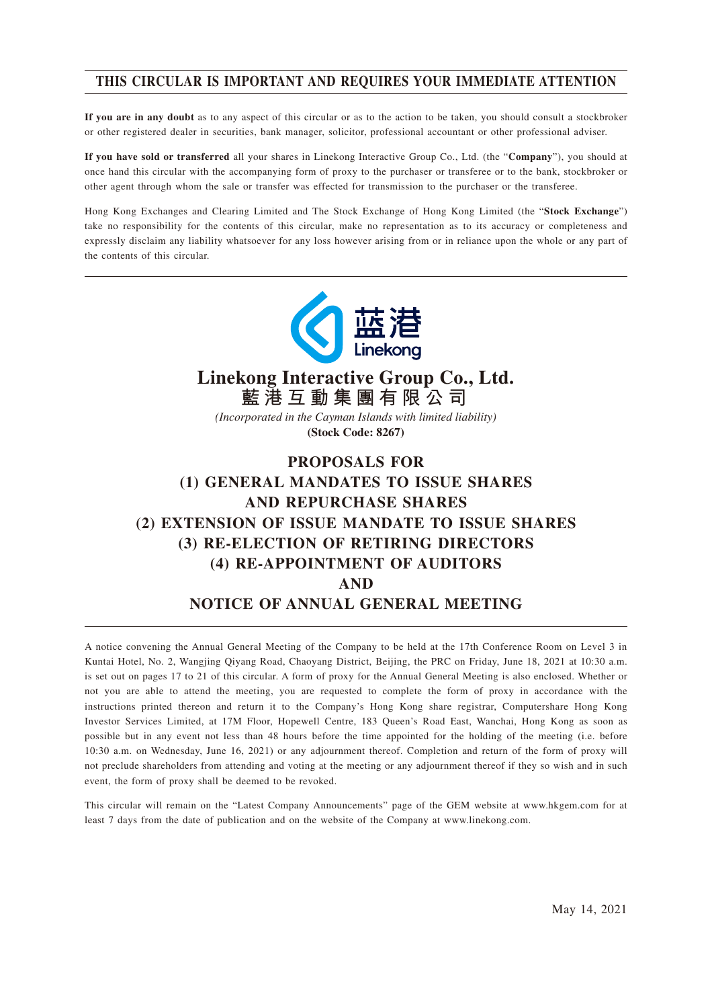# **THIS CIRCULAR IS IMPORTANT AND REQUIRES YOUR IMMEDIATE ATTENTION**

**If you are in any doubt** as to any aspect of this circular or as to the action to be taken, you should consult a stockbroker or other registered dealer in securities, bank manager, solicitor, professional accountant or other professional adviser.

**If you have sold or transferred** all your shares in Linekong Interactive Group Co., Ltd. (the "**Company**"), you should at once hand this circular with the accompanying form of proxy to the purchaser or transferee or to the bank, stockbroker or other agent through whom the sale or transfer was effected for transmission to the purchaser or the transferee.

Hong Kong Exchanges and Clearing Limited and The Stock Exchange of Hong Kong Limited (the "**Stock Exchange**") take no responsibility for the contents of this circular, make no representation as to its accuracy or completeness and expressly disclaim any liability whatsoever for any loss however arising from or in reliance upon the whole or any part of the contents of this circular.



# **Linekong Interactive Group Co., Ltd. 藍港互動集團有限公司**

*(Incorporated in the Cayman Islands with limited liability)* **(Stock Code: 8267)**

# **PROPOSALS FOR (1) GENERAL MANDATES TO ISSUE SHARES AND REPURCHASE SHARES (2) EXTENSION OF ISSUE MANDATE TO ISSUE SHARES (3) RE-ELECTION OF RETIRING DIRECTORS (4) RE-APPOINTMENT OF AUDITORS AND NOTICE OF ANNUAL GENERAL MEETING**

A notice convening the Annual General Meeting of the Company to be held at the 17th Conference Room on Level 3 in Kuntai Hotel, No. 2, Wangjing Qiyang Road, Chaoyang District, Beijing, the PRC on Friday, June 18, 2021 at 10:30 a.m. is set out on pages 17 to 21 of this circular. A form of proxy for the Annual General Meeting is also enclosed. Whether or not you are able to attend the meeting, you are requested to complete the form of proxy in accordance with the instructions printed thereon and return it to the Company's Hong Kong share registrar, Computershare Hong Kong Investor Services Limited, at 17M Floor, Hopewell Centre, 183 Queen's Road East, Wanchai, Hong Kong as soon as possible but in any event not less than 48 hours before the time appointed for the holding of the meeting (i.e. before 10:30 a.m. on Wednesday, June 16, 2021) or any adjournment thereof. Completion and return of the form of proxy will not preclude shareholders from attending and voting at the meeting or any adjournment thereof if they so wish and in such event, the form of proxy shall be deemed to be revoked.

This circular will remain on the "Latest Company Announcements" page of the GEM website at www.hkgem.com for at least 7 days from the date of publication and on the website of the Company at www.linekong.com.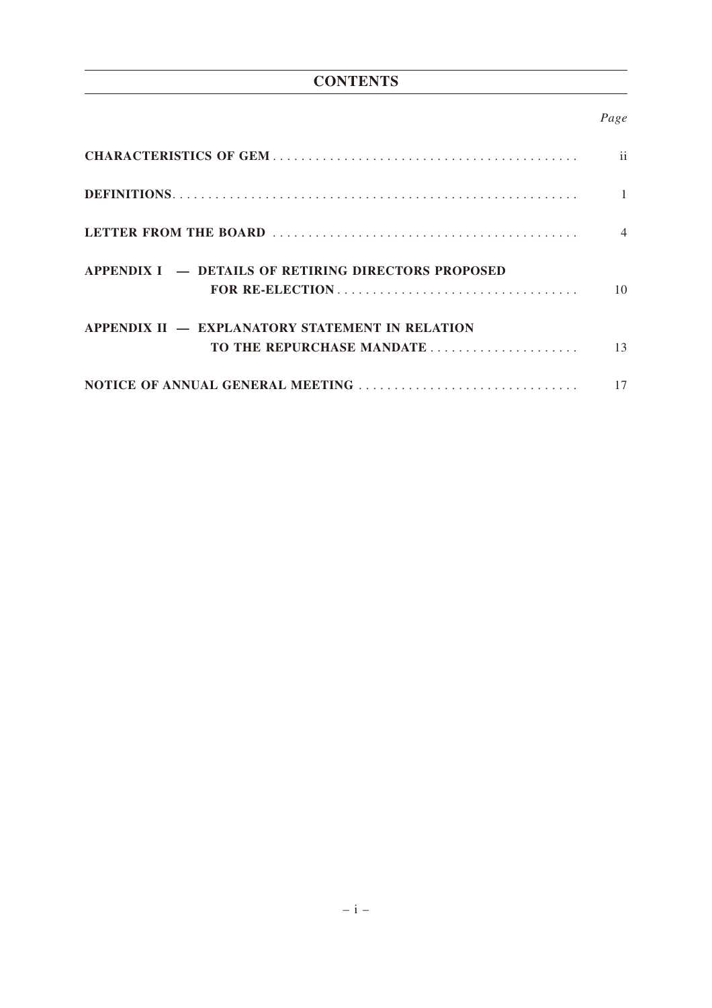# **CONTENTS**

# *Page*

|                                                                              | $\mathbf{ii}$  |
|------------------------------------------------------------------------------|----------------|
|                                                                              | $\mathbf{1}$   |
|                                                                              | $\overline{4}$ |
| APPENDIX I – DETAILS OF RETIRING DIRECTORS PROPOSED<br>FOR RE-ELECTION       | 10             |
| APPENDIX II - EXPLANATORY STATEMENT IN RELATION<br>TO THE REPURCHASE MANDATE | 13             |
|                                                                              | 17             |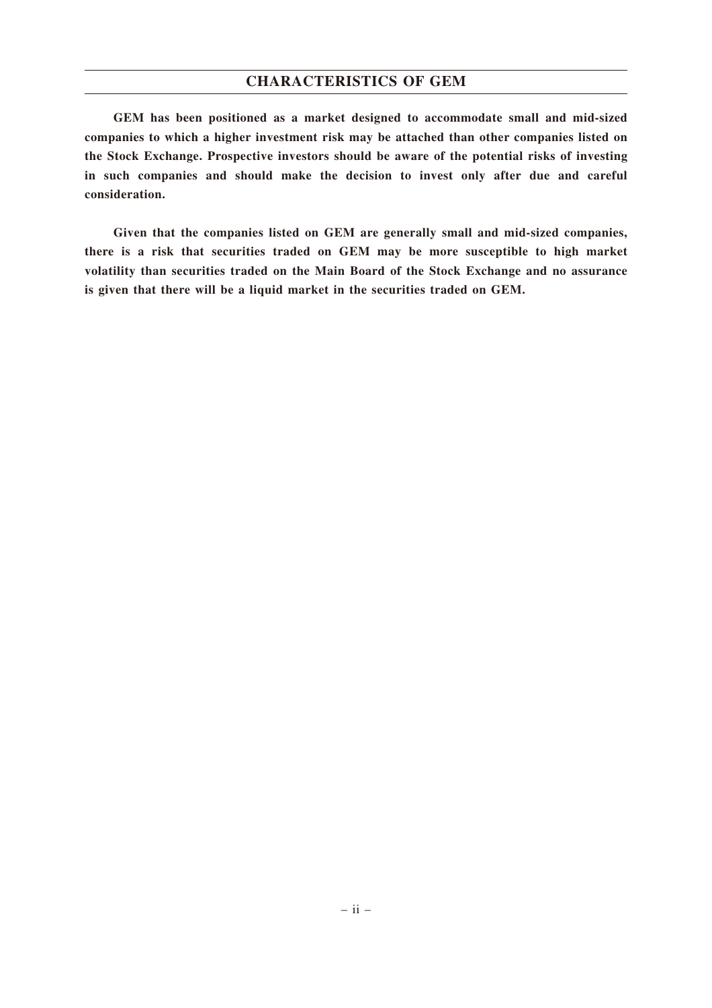## **CHARACTERISTICS OF GEM**

**GEM has been positioned as a market designed to accommodate small and mid-sized companies to which a higher investment risk may be attached than other companies listed on the Stock Exchange. Prospective investors should be aware of the potential risks of investing in such companies and should make the decision to invest only after due and careful consideration.**

**Given that the companies listed on GEM are generally small and mid-sized companies, there is a risk that securities traded on GEM may be more susceptible to high market volatility than securities traded on the Main Board of the Stock Exchange and no assurance is given that there will be a liquid market in the securities traded on GEM.**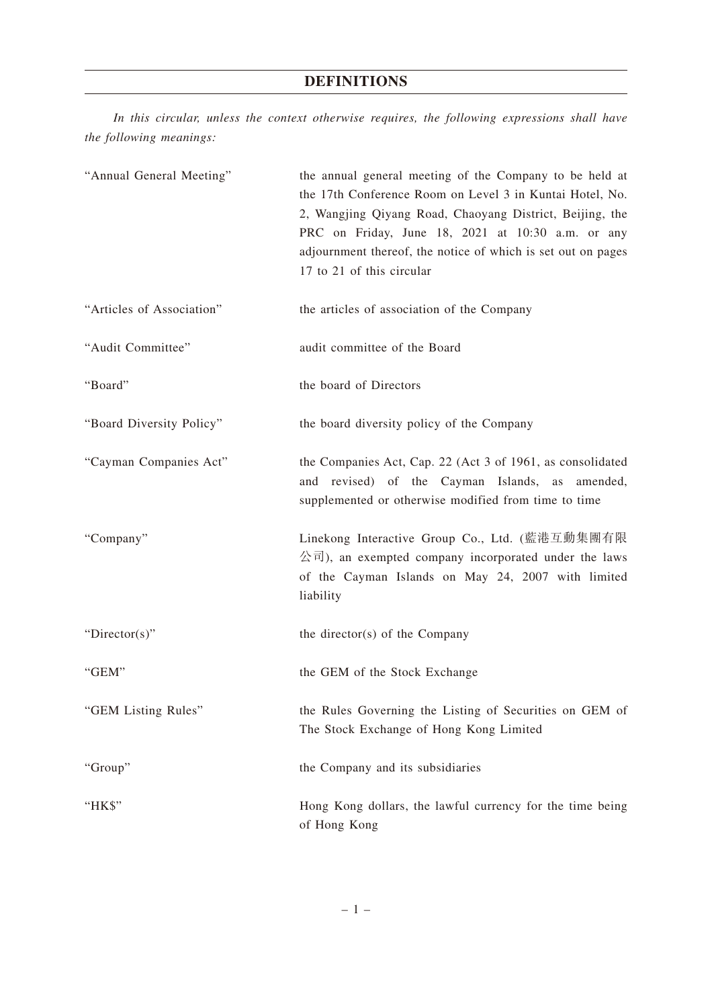# **DEFINITIONS**

*In this circular, unless the context otherwise requires, the following expressions shall have the following meanings:*

| "Annual General Meeting"  | the annual general meeting of the Company to be held at<br>the 17th Conference Room on Level 3 in Kuntai Hotel, No.<br>2, Wangjing Qiyang Road, Chaoyang District, Beijing, the<br>PRC on Friday, June 18, 2021 at 10:30 a.m. or any<br>adjournment thereof, the notice of which is set out on pages<br>17 to 21 of this circular |
|---------------------------|-----------------------------------------------------------------------------------------------------------------------------------------------------------------------------------------------------------------------------------------------------------------------------------------------------------------------------------|
| "Articles of Association" | the articles of association of the Company                                                                                                                                                                                                                                                                                        |
| "Audit Committee"         | audit committee of the Board                                                                                                                                                                                                                                                                                                      |
| "Board"                   | the board of Directors                                                                                                                                                                                                                                                                                                            |
| "Board Diversity Policy"  | the board diversity policy of the Company                                                                                                                                                                                                                                                                                         |
| "Cayman Companies Act"    | the Companies Act, Cap. 22 (Act 3 of 1961, as consolidated<br>and revised) of the Cayman Islands, as amended,<br>supplemented or otherwise modified from time to time                                                                                                                                                             |
| "Company"                 | Linekong Interactive Group Co., Ltd. (藍港互動集團有限<br>$\Delta \overrightarrow{\pi}$ ), an exempted company incorporated under the laws<br>of the Cayman Islands on May 24, 2007 with limited<br>liability                                                                                                                             |
| " $Directory$ "           | the director(s) of the Company                                                                                                                                                                                                                                                                                                    |
| "GEM"                     | the GEM of the Stock Exchange                                                                                                                                                                                                                                                                                                     |
| "GEM Listing Rules"       | the Rules Governing the Listing of Securities on GEM of<br>The Stock Exchange of Hong Kong Limited                                                                                                                                                                                                                                |
| "Group"                   | the Company and its subsidiaries                                                                                                                                                                                                                                                                                                  |
| "HK\$"                    | Hong Kong dollars, the lawful currency for the time being<br>of Hong Kong                                                                                                                                                                                                                                                         |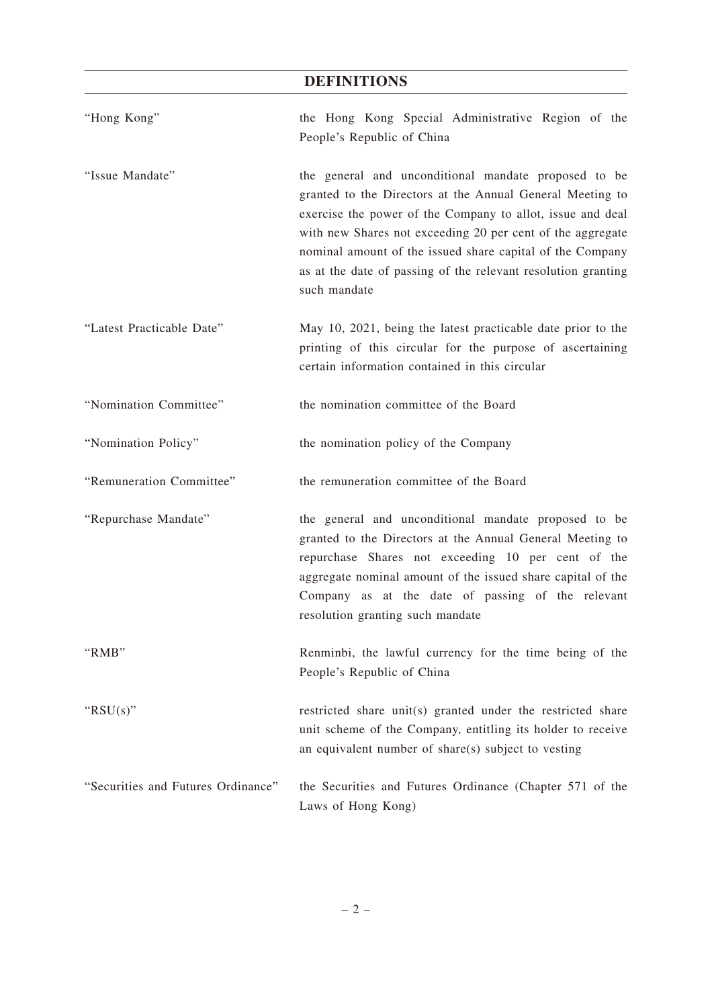# **DEFINITIONS**

| "Hong Kong"                        | the Hong Kong Special Administrative Region of the<br>People's Republic of China                                                                                                                                                                                                                                                                                                            |
|------------------------------------|---------------------------------------------------------------------------------------------------------------------------------------------------------------------------------------------------------------------------------------------------------------------------------------------------------------------------------------------------------------------------------------------|
| "Issue Mandate"                    | the general and unconditional mandate proposed to be<br>granted to the Directors at the Annual General Meeting to<br>exercise the power of the Company to allot, issue and deal<br>with new Shares not exceeding 20 per cent of the aggregate<br>nominal amount of the issued share capital of the Company<br>as at the date of passing of the relevant resolution granting<br>such mandate |
| "Latest Practicable Date"          | May 10, 2021, being the latest practicable date prior to the<br>printing of this circular for the purpose of ascertaining<br>certain information contained in this circular                                                                                                                                                                                                                 |
| "Nomination Committee"             | the nomination committee of the Board                                                                                                                                                                                                                                                                                                                                                       |
| "Nomination Policy"                | the nomination policy of the Company                                                                                                                                                                                                                                                                                                                                                        |
| "Remuneration Committee"           | the remuneration committee of the Board                                                                                                                                                                                                                                                                                                                                                     |
| "Repurchase Mandate"               | the general and unconditional mandate proposed to be<br>granted to the Directors at the Annual General Meeting to<br>repurchase Shares not exceeding 10 per cent of the<br>aggregate nominal amount of the issued share capital of the<br>Company as at the date of passing of the relevant<br>resolution granting such mandate                                                             |
| "RMB"                              | Renminbi, the lawful currency for the time being of the<br>People's Republic of China                                                                                                                                                                                                                                                                                                       |
| " $RSU(s)$ "                       | restricted share unit(s) granted under the restricted share<br>unit scheme of the Company, entitling its holder to receive<br>an equivalent number of share(s) subject to vesting                                                                                                                                                                                                           |
| "Securities and Futures Ordinance" | the Securities and Futures Ordinance (Chapter 571 of the<br>Laws of Hong Kong)                                                                                                                                                                                                                                                                                                              |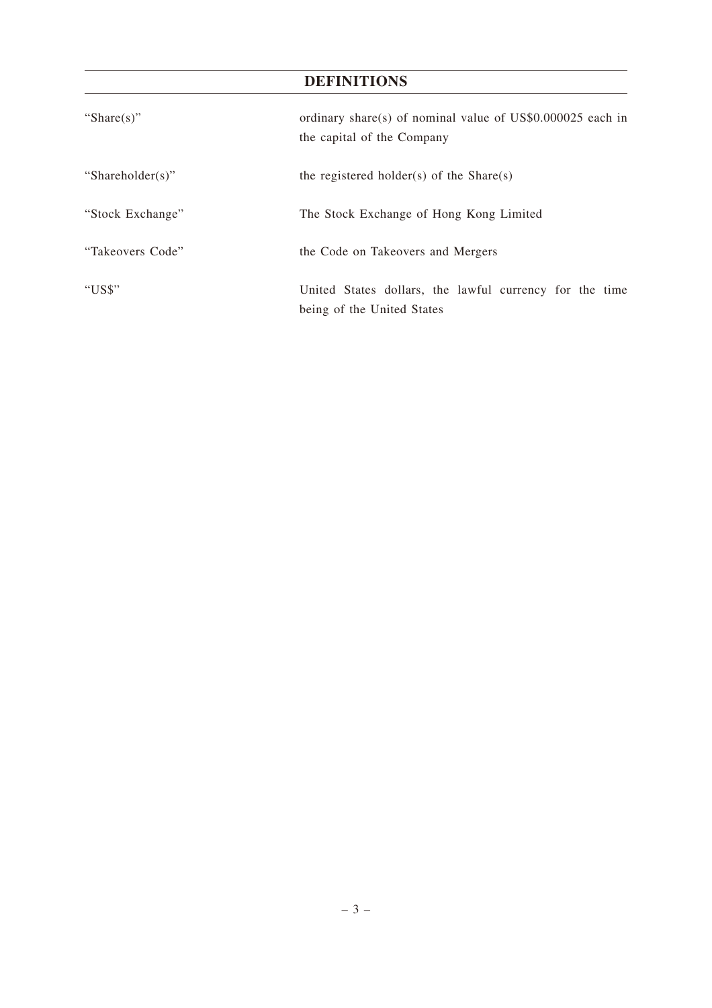# **DEFINITIONS**

| "Share $(s)$ "   | ordinary share(s) of nominal value of US\$0.000025 each in<br>the capital of the Company |  |  |  |
|------------------|------------------------------------------------------------------------------------------|--|--|--|
| "Shareholder(s)" | the registered holder(s) of the Share(s)                                                 |  |  |  |
| "Stock Exchange" | The Stock Exchange of Hong Kong Limited                                                  |  |  |  |
| "Takeovers Code" | the Code on Takeovers and Mergers                                                        |  |  |  |
| "US\$"           | United States dollars, the lawful currency for the time<br>being of the United States    |  |  |  |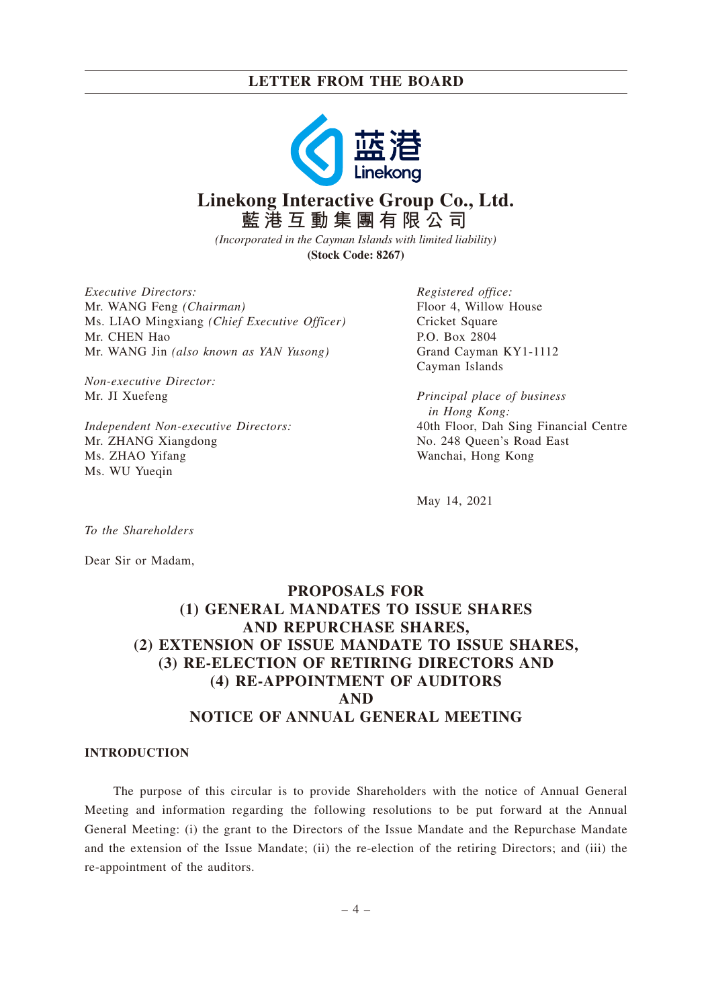

# **Linekong Interactive Group Co., Ltd. 藍港互動集團有限公司**

*(Incorporated in the Cayman Islands with limited liability)* **(Stock Code: 8267)**

*Executive Directors:* Mr. WANG Feng *(Chairman)* Ms. LIAO Mingxiang *(Chief Executive Officer)* Mr. CHEN Hao Mr. WANG Jin *(also known as YAN Yusong)*

*Non-executive Director:* Mr. JI Xuefeng

*Independent Non-executive Directors:* Mr. ZHANG Xiangdong Ms. ZHAO Yifang Ms. WU Yueqin

*Registered office:* Floor 4, Willow House Cricket Square P.O. Box 2804 Grand Cayman KY1-1112 Cayman Islands

*Principal place of business in Hong Kong:* 40th Floor, Dah Sing Financial Centre No. 248 Queen's Road East Wanchai, Hong Kong

May 14, 2021

*To the Shareholders*

Dear Sir or Madam,

# **PROPOSALS FOR (1) GENERAL MANDATES TO ISSUE SHARES AND REPURCHASE SHARES, (2) EXTENSION OF ISSUE MANDATE TO ISSUE SHARES, (3) RE-ELECTION OF RETIRING DIRECTORS AND (4) RE-APPOINTMENT OF AUDITORS AND NOTICE OF ANNUAL GENERAL MEETING**

# **INTRODUCTION**

The purpose of this circular is to provide Shareholders with the notice of Annual General Meeting and information regarding the following resolutions to be put forward at the Annual General Meeting: (i) the grant to the Directors of the Issue Mandate and the Repurchase Mandate and the extension of the Issue Mandate; (ii) the re-election of the retiring Directors; and (iii) the re-appointment of the auditors.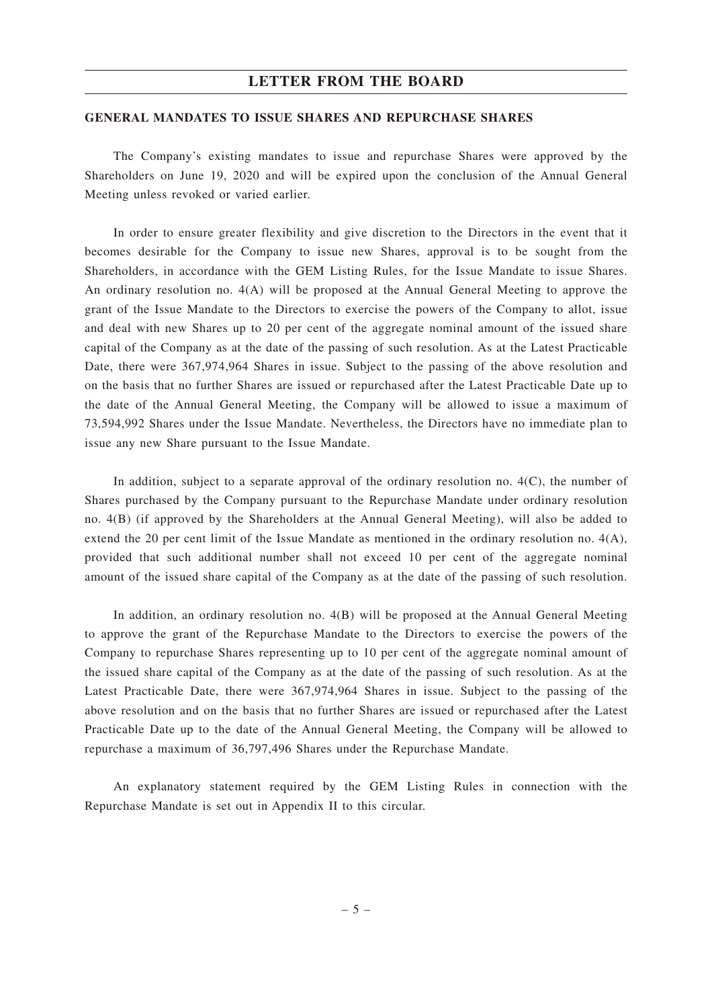### **GENERAL MANDATES TO ISSUE SHARES AND REPURCHASE SHARES**

The Company's existing mandates to issue and repurchase Shares were approved by the Shareholders on June 19, 2020 and will be expired upon the conclusion of the Annual General Meeting unless revoked or varied earlier.

In order to ensure greater flexibility and give discretion to the Directors in the event that it becomes desirable for the Company to issue new Shares, approval is to be sought from the Shareholders, in accordance with the GEM Listing Rules, for the Issue Mandate to issue Shares. An ordinary resolution no. 4(A) will be proposed at the Annual General Meeting to approve the grant of the Issue Mandate to the Directors to exercise the powers of the Company to allot, issue and deal with new Shares up to 20 per cent of the aggregate nominal amount of the issued share capital of the Company as at the date of the passing of such resolution. As at the Latest Practicable Date, there were 367,974,964 Shares in issue. Subject to the passing of the above resolution and on the basis that no further Shares are issued or repurchased after the Latest Practicable Date up to the date of the Annual General Meeting, the Company will be allowed to issue a maximum of 73,594,992 Shares under the Issue Mandate. Nevertheless, the Directors have no immediate plan to issue any new Share pursuant to the Issue Mandate.

In addition, subject to a separate approval of the ordinary resolution no.  $4(C)$ , the number of Shares purchased by the Company pursuant to the Repurchase Mandate under ordinary resolution no. 4(B) (if approved by the Shareholders at the Annual General Meeting), will also be added to extend the 20 per cent limit of the Issue Mandate as mentioned in the ordinary resolution no. 4(A), provided that such additional number shall not exceed 10 per cent of the aggregate nominal amount of the issued share capital of the Company as at the date of the passing of such resolution.

In addition, an ordinary resolution no. 4(B) will be proposed at the Annual General Meeting to approve the grant of the Repurchase Mandate to the Directors to exercise the powers of the Company to repurchase Shares representing up to 10 per cent of the aggregate nominal amount of the issued share capital of the Company as at the date of the passing of such resolution. As at the Latest Practicable Date, there were 367,974,964 Shares in issue. Subject to the passing of the above resolution and on the basis that no further Shares are issued or repurchased after the Latest Practicable Date up to the date of the Annual General Meeting, the Company will be allowed to repurchase a maximum of 36,797,496 Shares under the Repurchase Mandate.

An explanatory statement required by the GEM Listing Rules in connection with the Repurchase Mandate is set out in Appendix II to this circular.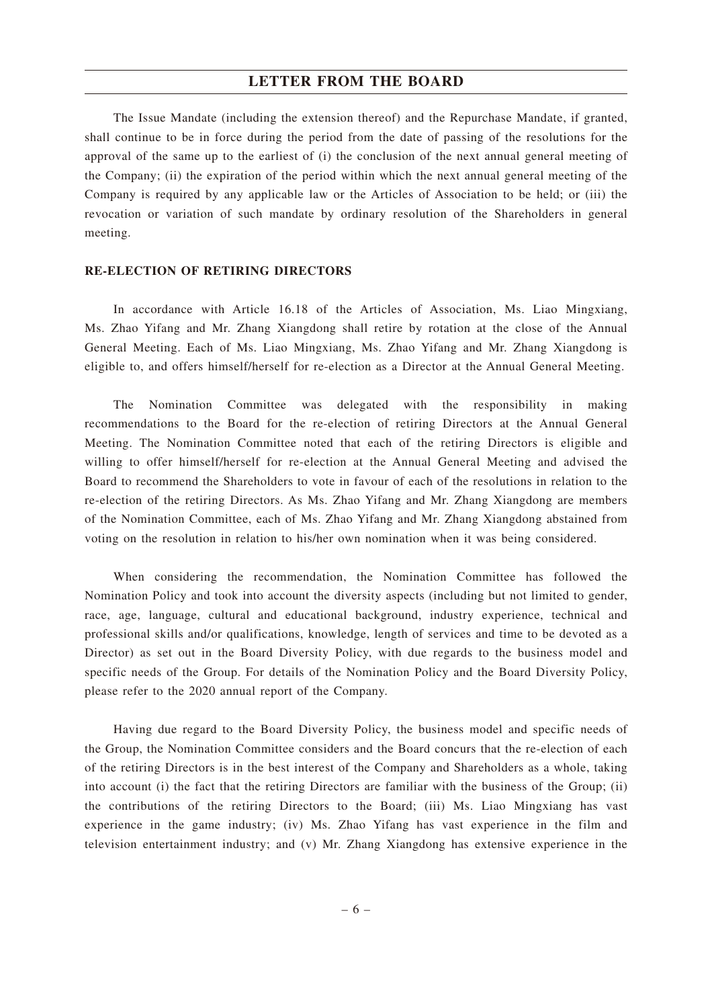The Issue Mandate (including the extension thereof) and the Repurchase Mandate, if granted, shall continue to be in force during the period from the date of passing of the resolutions for the approval of the same up to the earliest of (i) the conclusion of the next annual general meeting of the Company; (ii) the expiration of the period within which the next annual general meeting of the Company is required by any applicable law or the Articles of Association to be held; or (iii) the revocation or variation of such mandate by ordinary resolution of the Shareholders in general meeting.

### **RE-ELECTION OF RETIRING DIRECTORS**

In accordance with Article 16.18 of the Articles of Association, Ms. Liao Mingxiang, Ms. Zhao Yifang and Mr. Zhang Xiangdong shall retire by rotation at the close of the Annual General Meeting. Each of Ms. Liao Mingxiang, Ms. Zhao Yifang and Mr. Zhang Xiangdong is eligible to, and offers himself/herself for re-election as a Director at the Annual General Meeting.

The Nomination Committee was delegated with the responsibility in making recommendations to the Board for the re-election of retiring Directors at the Annual General Meeting. The Nomination Committee noted that each of the retiring Directors is eligible and willing to offer himself/herself for re-election at the Annual General Meeting and advised the Board to recommend the Shareholders to vote in favour of each of the resolutions in relation to the re-election of the retiring Directors. As Ms. Zhao Yifang and Mr. Zhang Xiangdong are members of the Nomination Committee, each of Ms. Zhao Yifang and Mr. Zhang Xiangdong abstained from voting on the resolution in relation to his/her own nomination when it was being considered.

When considering the recommendation, the Nomination Committee has followed the Nomination Policy and took into account the diversity aspects (including but not limited to gender, race, age, language, cultural and educational background, industry experience, technical and professional skills and/or qualifications, knowledge, length of services and time to be devoted as a Director) as set out in the Board Diversity Policy, with due regards to the business model and specific needs of the Group. For details of the Nomination Policy and the Board Diversity Policy, please refer to the 2020 annual report of the Company.

Having due regard to the Board Diversity Policy, the business model and specific needs of the Group, the Nomination Committee considers and the Board concurs that the re-election of each of the retiring Directors is in the best interest of the Company and Shareholders as a whole, taking into account (i) the fact that the retiring Directors are familiar with the business of the Group; (ii) the contributions of the retiring Directors to the Board; (iii) Ms. Liao Mingxiang has vast experience in the game industry; (iv) Ms. Zhao Yifang has vast experience in the film and television entertainment industry; and (v) Mr. Zhang Xiangdong has extensive experience in the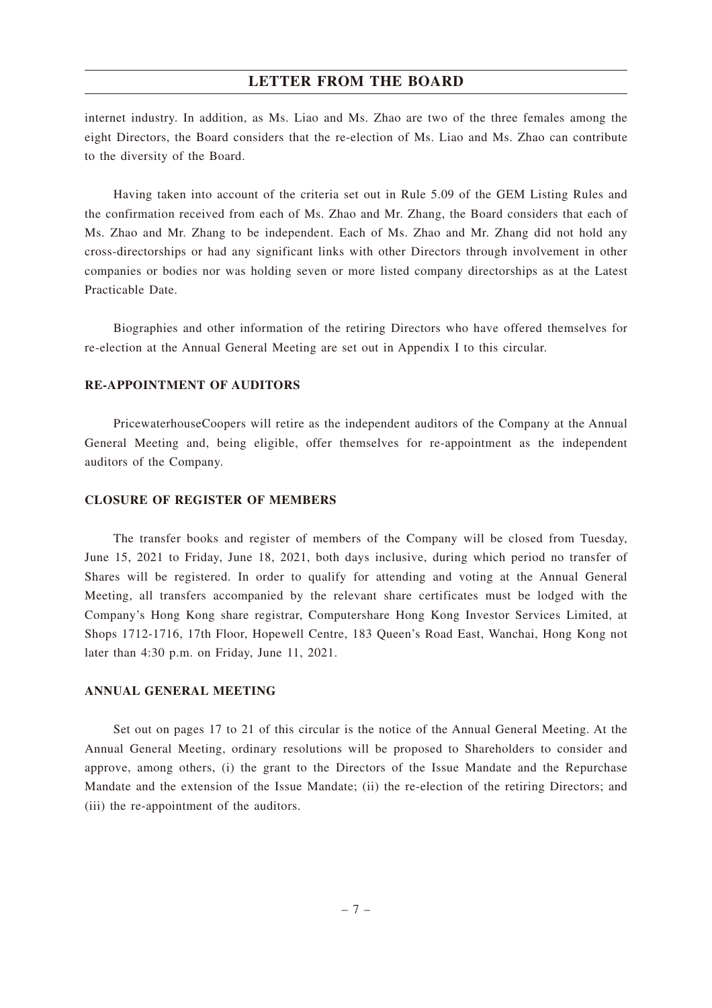internet industry. In addition, as Ms. Liao and Ms. Zhao are two of the three females among the eight Directors, the Board considers that the re-election of Ms. Liao and Ms. Zhao can contribute to the diversity of the Board.

Having taken into account of the criteria set out in Rule 5.09 of the GEM Listing Rules and the confirmation received from each of Ms. Zhao and Mr. Zhang, the Board considers that each of Ms. Zhao and Mr. Zhang to be independent. Each of Ms. Zhao and Mr. Zhang did not hold any cross-directorships or had any significant links with other Directors through involvement in other companies or bodies nor was holding seven or more listed company directorships as at the Latest Practicable Date.

Biographies and other information of the retiring Directors who have offered themselves for re-election at the Annual General Meeting are set out in Appendix I to this circular.

# **RE-APPOINTMENT OF AUDITORS**

PricewaterhouseCoopers will retire as the independent auditors of the Company at the Annual General Meeting and, being eligible, offer themselves for re-appointment as the independent auditors of the Company.

### **CLOSURE OF REGISTER OF MEMBERS**

The transfer books and register of members of the Company will be closed from Tuesday, June 15, 2021 to Friday, June 18, 2021, both days inclusive, during which period no transfer of Shares will be registered. In order to qualify for attending and voting at the Annual General Meeting, all transfers accompanied by the relevant share certificates must be lodged with the Company's Hong Kong share registrar, Computershare Hong Kong Investor Services Limited, at Shops 1712-1716, 17th Floor, Hopewell Centre, 183 Queen's Road East, Wanchai, Hong Kong not later than 4:30 p.m. on Friday, June 11, 2021.

### **ANNUAL GENERAL MEETING**

Set out on pages 17 to 21 of this circular is the notice of the Annual General Meeting. At the Annual General Meeting, ordinary resolutions will be proposed to Shareholders to consider and approve, among others, (i) the grant to the Directors of the Issue Mandate and the Repurchase Mandate and the extension of the Issue Mandate; (ii) the re-election of the retiring Directors; and (iii) the re-appointment of the auditors.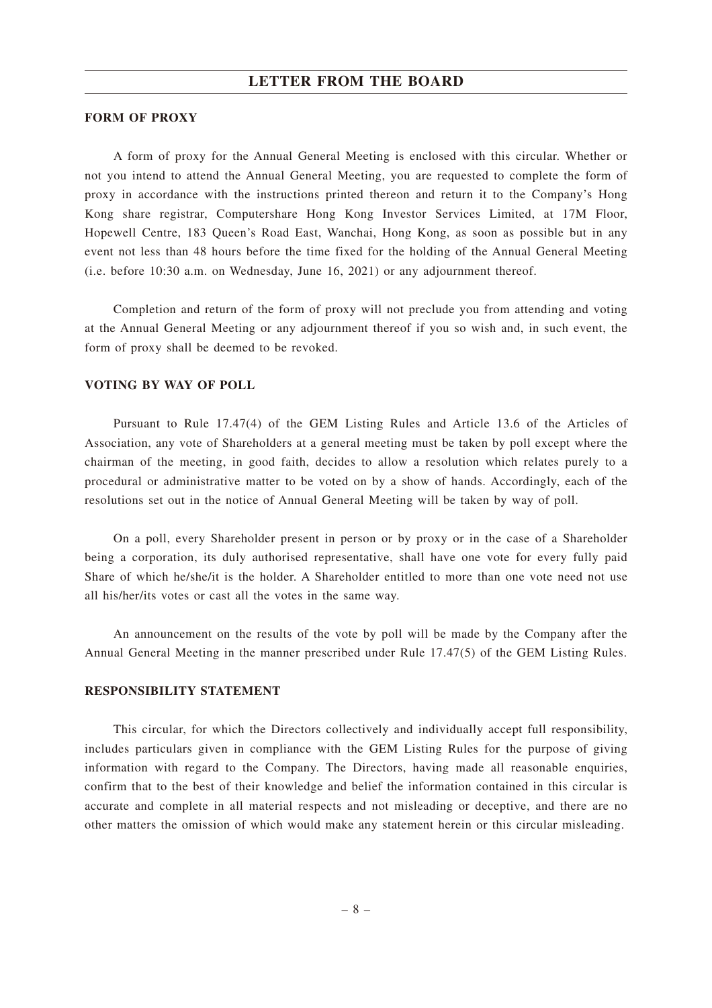### **FORM OF PROXY**

A form of proxy for the Annual General Meeting is enclosed with this circular. Whether or not you intend to attend the Annual General Meeting, you are requested to complete the form of proxy in accordance with the instructions printed thereon and return it to the Company's Hong Kong share registrar, Computershare Hong Kong Investor Services Limited, at 17M Floor, Hopewell Centre, 183 Queen's Road East, Wanchai, Hong Kong, as soon as possible but in any event not less than 48 hours before the time fixed for the holding of the Annual General Meeting (i.e. before 10:30 a.m. on Wednesday, June 16, 2021) or any adjournment thereof.

Completion and return of the form of proxy will not preclude you from attending and voting at the Annual General Meeting or any adjournment thereof if you so wish and, in such event, the form of proxy shall be deemed to be revoked.

## **VOTING BY WAY OF POLL**

Pursuant to Rule 17.47(4) of the GEM Listing Rules and Article 13.6 of the Articles of Association, any vote of Shareholders at a general meeting must be taken by poll except where the chairman of the meeting, in good faith, decides to allow a resolution which relates purely to a procedural or administrative matter to be voted on by a show of hands. Accordingly, each of the resolutions set out in the notice of Annual General Meeting will be taken by way of poll.

On a poll, every Shareholder present in person or by proxy or in the case of a Shareholder being a corporation, its duly authorised representative, shall have one vote for every fully paid Share of which he/she/it is the holder. A Shareholder entitled to more than one vote need not use all his/her/its votes or cast all the votes in the same way.

An announcement on the results of the vote by poll will be made by the Company after the Annual General Meeting in the manner prescribed under Rule 17.47(5) of the GEM Listing Rules.

## **RESPONSIBILITY STATEMENT**

This circular, for which the Directors collectively and individually accept full responsibility, includes particulars given in compliance with the GEM Listing Rules for the purpose of giving information with regard to the Company. The Directors, having made all reasonable enquiries, confirm that to the best of their knowledge and belief the information contained in this circular is accurate and complete in all material respects and not misleading or deceptive, and there are no other matters the omission of which would make any statement herein or this circular misleading.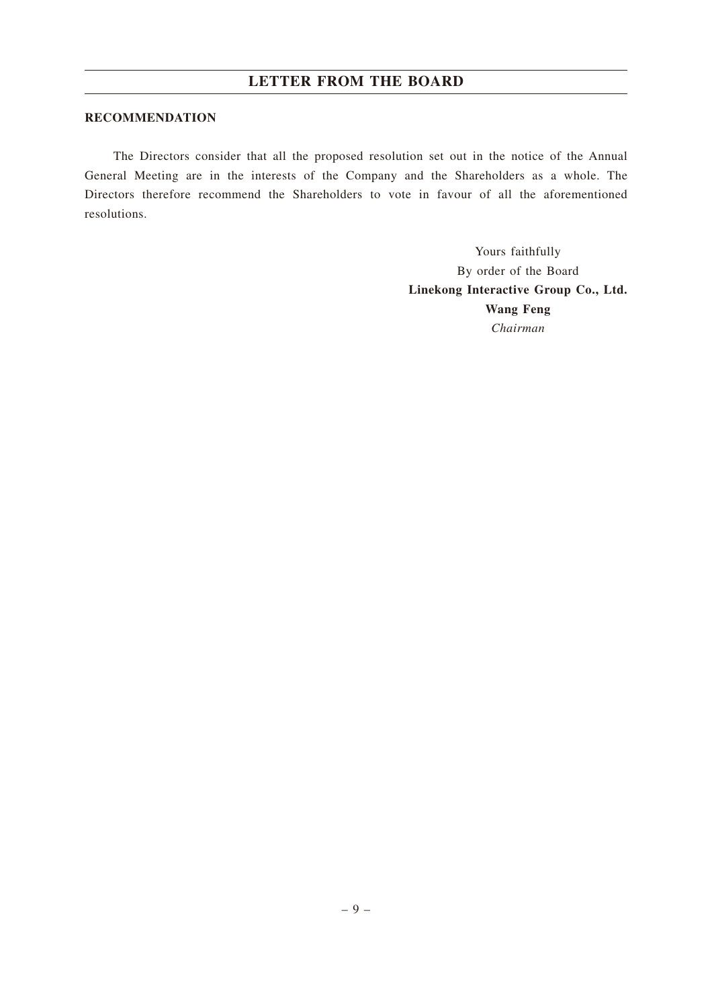### **RECOMMENDATION**

The Directors consider that all the proposed resolution set out in the notice of the Annual General Meeting are in the interests of the Company and the Shareholders as a whole. The Directors therefore recommend the Shareholders to vote in favour of all the aforementioned resolutions.

> Yours faithfully By order of the Board **Linekong Interactive Group Co., Ltd. Wang Feng** *Chairman*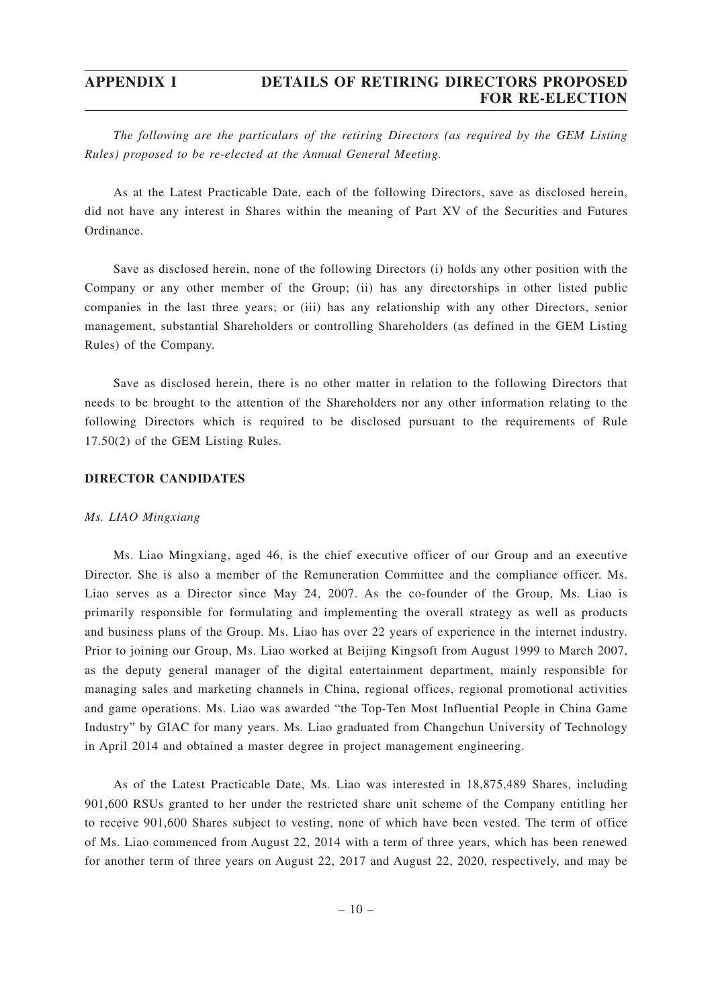*The following are the particulars of the retiring Directors (as required by the GEM Listing Rules) proposed to be re-elected at the Annual General Meeting.*

As at the Latest Practicable Date, each of the following Directors, save as disclosed herein, did not have any interest in Shares within the meaning of Part XV of the Securities and Futures Ordinance.

Save as disclosed herein, none of the following Directors (i) holds any other position with the Company or any other member of the Group; (ii) has any directorships in other listed public companies in the last three years; or (iii) has any relationship with any other Directors, senior management, substantial Shareholders or controlling Shareholders (as defined in the GEM Listing Rules) of the Company.

Save as disclosed herein, there is no other matter in relation to the following Directors that needs to be brought to the attention of the Shareholders nor any other information relating to the following Directors which is required to be disclosed pursuant to the requirements of Rule 17.50(2) of the GEM Listing Rules.

## **DIRECTOR CANDIDATES**

### *Ms. LIAO Mingxiang*

Ms. Liao Mingxiang, aged 46, is the chief executive officer of our Group and an executive Director. She is also a member of the Remuneration Committee and the compliance officer. Ms. Liao serves as a Director since May 24, 2007. As the co-founder of the Group, Ms. Liao is primarily responsible for formulating and implementing the overall strategy as well as products and business plans of the Group. Ms. Liao has over 22 years of experience in the internet industry. Prior to joining our Group, Ms. Liao worked at Beijing Kingsoft from August 1999 to March 2007, as the deputy general manager of the digital entertainment department, mainly responsible for managing sales and marketing channels in China, regional offices, regional promotional activities and game operations. Ms. Liao was awarded "the Top-Ten Most Influential People in China Game Industry" by GIAC for many years. Ms. Liao graduated from Changchun University of Technology in April 2014 and obtained a master degree in project management engineering.

As of the Latest Practicable Date, Ms. Liao was interested in 18,875,489 Shares, including 901,600 RSUs granted to her under the restricted share unit scheme of the Company entitling her to receive 901,600 Shares subject to vesting, none of which have been vested. The term of office of Ms. Liao commenced from August 22, 2014 with a term of three years, which has been renewed for another term of three years on August 22, 2017 and August 22, 2020, respectively, and may be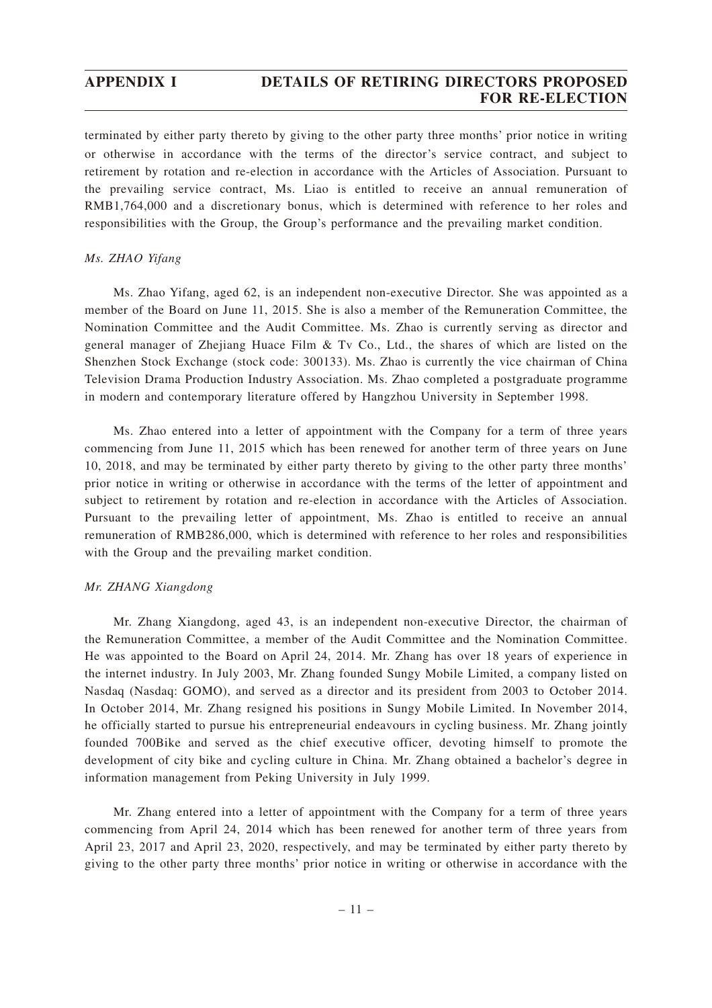# **APPENDIX I DETAILS OF RETIRING DIRECTORS PROPOSED FOR RE-ELECTION**

terminated by either party thereto by giving to the other party three months' prior notice in writing or otherwise in accordance with the terms of the director's service contract, and subject to retirement by rotation and re-election in accordance with the Articles of Association. Pursuant to the prevailing service contract, Ms. Liao is entitled to receive an annual remuneration of RMB1,764,000 and a discretionary bonus, which is determined with reference to her roles and responsibilities with the Group, the Group's performance and the prevailing market condition.

### *Ms. ZHAO Yifang*

Ms. Zhao Yifang, aged 62, is an independent non-executive Director. She was appointed as a member of the Board on June 11, 2015. She is also a member of the Remuneration Committee, the Nomination Committee and the Audit Committee. Ms. Zhao is currently serving as director and general manager of Zhejiang Huace Film & Tv Co., Ltd., the shares of which are listed on the Shenzhen Stock Exchange (stock code: 300133). Ms. Zhao is currently the vice chairman of China Television Drama Production Industry Association. Ms. Zhao completed a postgraduate programme in modern and contemporary literature offered by Hangzhou University in September 1998.

Ms. Zhao entered into a letter of appointment with the Company for a term of three years commencing from June 11, 2015 which has been renewed for another term of three years on June 10, 2018, and may be terminated by either party thereto by giving to the other party three months' prior notice in writing or otherwise in accordance with the terms of the letter of appointment and subject to retirement by rotation and re-election in accordance with the Articles of Association. Pursuant to the prevailing letter of appointment, Ms. Zhao is entitled to receive an annual remuneration of RMB286,000, which is determined with reference to her roles and responsibilities with the Group and the prevailing market condition.

### *Mr. ZHANG Xiangdong*

Mr. Zhang Xiangdong, aged 43, is an independent non-executive Director, the chairman of the Remuneration Committee, a member of the Audit Committee and the Nomination Committee. He was appointed to the Board on April 24, 2014. Mr. Zhang has over 18 years of experience in the internet industry. In July 2003, Mr. Zhang founded Sungy Mobile Limited, a company listed on Nasdaq (Nasdaq: GOMO), and served as a director and its president from 2003 to October 2014. In October 2014, Mr. Zhang resigned his positions in Sungy Mobile Limited. In November 2014, he officially started to pursue his entrepreneurial endeavours in cycling business. Mr. Zhang jointly founded 700Bike and served as the chief executive officer, devoting himself to promote the development of city bike and cycling culture in China. Mr. Zhang obtained a bachelor's degree in information management from Peking University in July 1999.

Mr. Zhang entered into a letter of appointment with the Company for a term of three years commencing from April 24, 2014 which has been renewed for another term of three years from April 23, 2017 and April 23, 2020, respectively, and may be terminated by either party thereto by giving to the other party three months' prior notice in writing or otherwise in accordance with the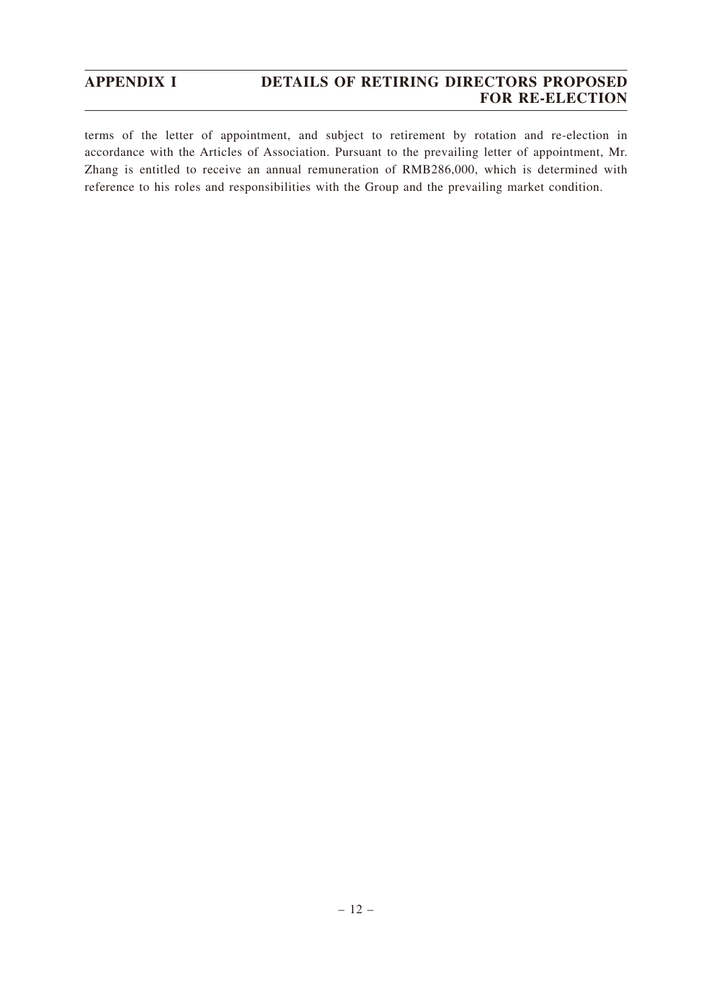# **APPENDIX I DETAILS OF RETIRING DIRECTORS PROPOSED FOR RE-ELECTION**

terms of the letter of appointment, and subject to retirement by rotation and re-election in accordance with the Articles of Association. Pursuant to the prevailing letter of appointment, Mr. Zhang is entitled to receive an annual remuneration of RMB286,000, which is determined with reference to his roles and responsibilities with the Group and the prevailing market condition.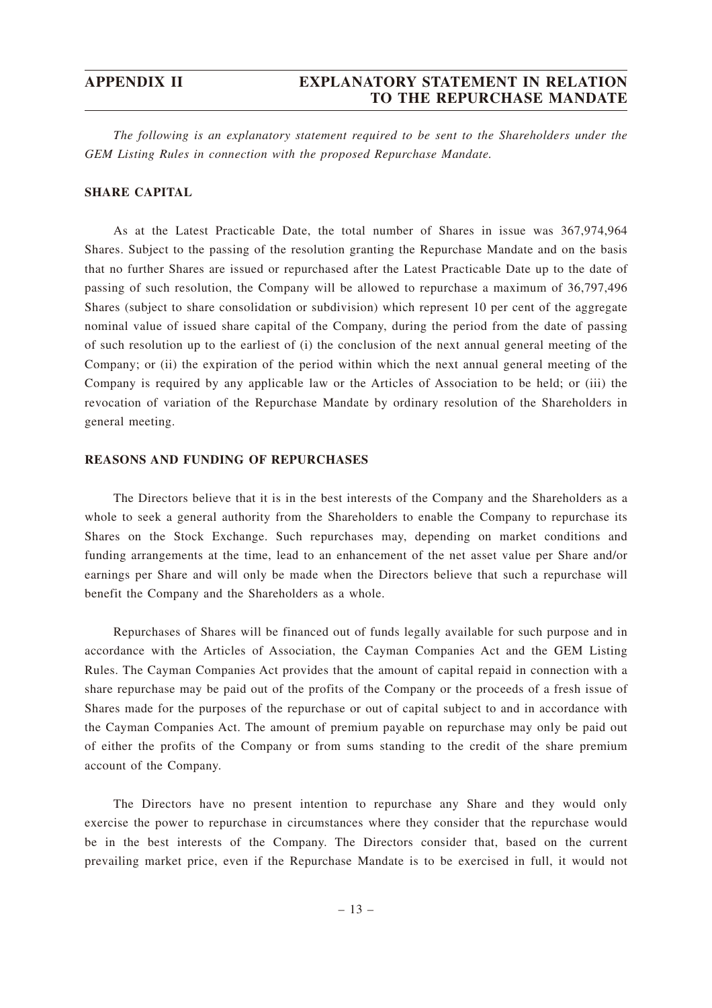*The following is an explanatory statement required to be sent to the Shareholders under the GEM Listing Rules in connection with the proposed Repurchase Mandate.*

## **SHARE CAPITAL**

As at the Latest Practicable Date, the total number of Shares in issue was 367,974,964 Shares. Subject to the passing of the resolution granting the Repurchase Mandate and on the basis that no further Shares are issued or repurchased after the Latest Practicable Date up to the date of passing of such resolution, the Company will be allowed to repurchase a maximum of 36,797,496 Shares (subject to share consolidation or subdivision) which represent 10 per cent of the aggregate nominal value of issued share capital of the Company, during the period from the date of passing of such resolution up to the earliest of (i) the conclusion of the next annual general meeting of the Company; or (ii) the expiration of the period within which the next annual general meeting of the Company is required by any applicable law or the Articles of Association to be held; or (iii) the revocation of variation of the Repurchase Mandate by ordinary resolution of the Shareholders in general meeting.

### **REASONS AND FUNDING OF REPURCHASES**

The Directors believe that it is in the best interests of the Company and the Shareholders as a whole to seek a general authority from the Shareholders to enable the Company to repurchase its Shares on the Stock Exchange. Such repurchases may, depending on market conditions and funding arrangements at the time, lead to an enhancement of the net asset value per Share and/or earnings per Share and will only be made when the Directors believe that such a repurchase will benefit the Company and the Shareholders as a whole.

Repurchases of Shares will be financed out of funds legally available for such purpose and in accordance with the Articles of Association, the Cayman Companies Act and the GEM Listing Rules. The Cayman Companies Act provides that the amount of capital repaid in connection with a share repurchase may be paid out of the profits of the Company or the proceeds of a fresh issue of Shares made for the purposes of the repurchase or out of capital subject to and in accordance with the Cayman Companies Act. The amount of premium payable on repurchase may only be paid out of either the profits of the Company or from sums standing to the credit of the share premium account of the Company.

The Directors have no present intention to repurchase any Share and they would only exercise the power to repurchase in circumstances where they consider that the repurchase would be in the best interests of the Company. The Directors consider that, based on the current prevailing market price, even if the Repurchase Mandate is to be exercised in full, it would not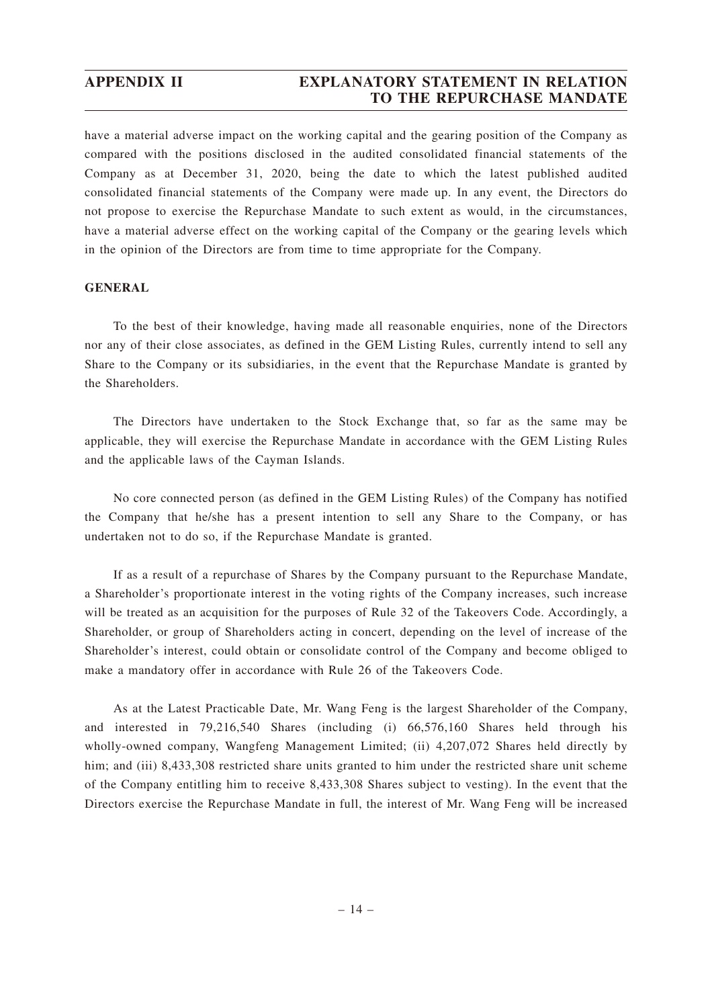have a material adverse impact on the working capital and the gearing position of the Company as compared with the positions disclosed in the audited consolidated financial statements of the Company as at December 31, 2020, being the date to which the latest published audited consolidated financial statements of the Company were made up. In any event, the Directors do not propose to exercise the Repurchase Mandate to such extent as would, in the circumstances, have a material adverse effect on the working capital of the Company or the gearing levels which in the opinion of the Directors are from time to time appropriate for the Company.

# **GENERAL**

To the best of their knowledge, having made all reasonable enquiries, none of the Directors nor any of their close associates, as defined in the GEM Listing Rules, currently intend to sell any Share to the Company or its subsidiaries, in the event that the Repurchase Mandate is granted by the Shareholders.

The Directors have undertaken to the Stock Exchange that, so far as the same may be applicable, they will exercise the Repurchase Mandate in accordance with the GEM Listing Rules and the applicable laws of the Cayman Islands.

No core connected person (as defined in the GEM Listing Rules) of the Company has notified the Company that he/she has a present intention to sell any Share to the Company, or has undertaken not to do so, if the Repurchase Mandate is granted.

If as a result of a repurchase of Shares by the Company pursuant to the Repurchase Mandate, a Shareholder's proportionate interest in the voting rights of the Company increases, such increase will be treated as an acquisition for the purposes of Rule 32 of the Takeovers Code. Accordingly, a Shareholder, or group of Shareholders acting in concert, depending on the level of increase of the Shareholder's interest, could obtain or consolidate control of the Company and become obliged to make a mandatory offer in accordance with Rule 26 of the Takeovers Code.

As at the Latest Practicable Date, Mr. Wang Feng is the largest Shareholder of the Company, and interested in 79,216,540 Shares (including (i) 66,576,160 Shares held through his wholly-owned company, Wangfeng Management Limited; (ii) 4,207,072 Shares held directly by him; and (iii) 8,433,308 restricted share units granted to him under the restricted share unit scheme of the Company entitling him to receive 8,433,308 Shares subject to vesting). In the event that the Directors exercise the Repurchase Mandate in full, the interest of Mr. Wang Feng will be increased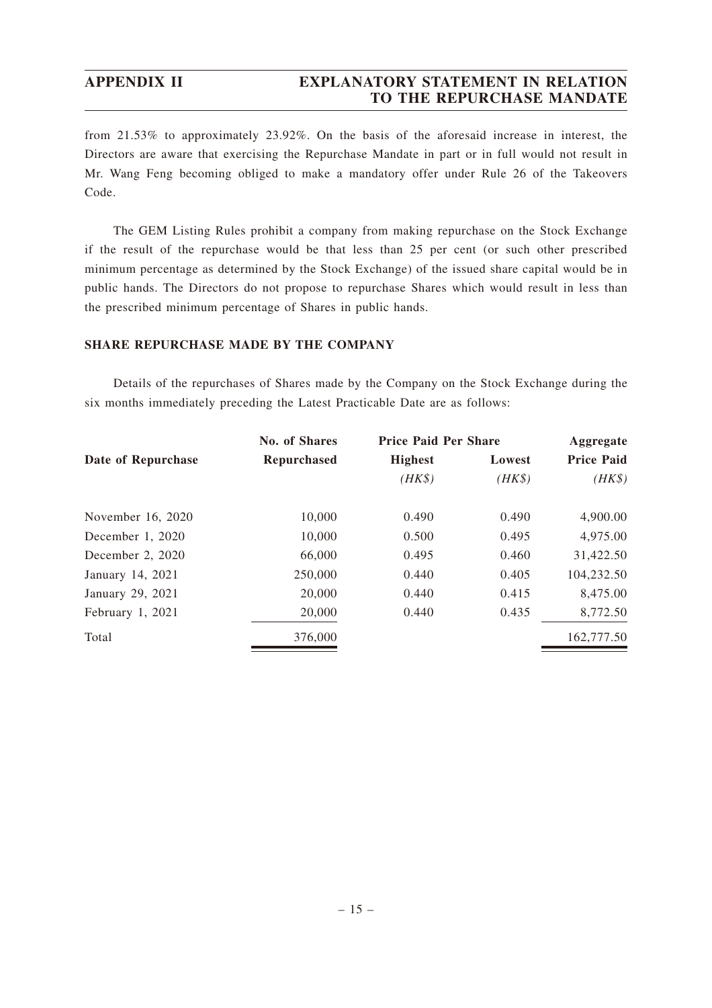from 21.53% to approximately 23.92%. On the basis of the aforesaid increase in interest, the Directors are aware that exercising the Repurchase Mandate in part or in full would not result in Mr. Wang Feng becoming obliged to make a mandatory offer under Rule 26 of the Takeovers Code.

The GEM Listing Rules prohibit a company from making repurchase on the Stock Exchange if the result of the repurchase would be that less than 25 per cent (or such other prescribed minimum percentage as determined by the Stock Exchange) of the issued share capital would be in public hands. The Directors do not propose to repurchase Shares which would result in less than the prescribed minimum percentage of Shares in public hands.

## **SHARE REPURCHASE MADE BY THE COMPANY**

Details of the repurchases of Shares made by the Company on the Stock Exchange during the six months immediately preceding the Latest Practicable Date are as follows:

|                    | <b>No. of Shares</b> | <b>Price Paid Per Share</b> |        | Aggregate         |  |
|--------------------|----------------------|-----------------------------|--------|-------------------|--|
| Date of Repurchase | <b>Repurchased</b>   | <b>Highest</b>              | Lowest | <b>Price Paid</b> |  |
|                    |                      | $(HK\$                      | $(HK\$ | $(HK\$            |  |
| November 16, 2020  | 10,000               | 0.490                       | 0.490  | 4,900.00          |  |
| December $1, 2020$ | 10,000               | 0.500                       | 0.495  | 4,975.00          |  |
| December 2, 2020   | 66,000               | 0.495                       | 0.460  | 31,422.50         |  |
| January 14, 2021   | 250,000              | 0.440                       | 0.405  | 104,232.50        |  |
| January 29, 2021   | 20,000               | 0.440                       | 0.415  | 8,475.00          |  |
| February 1, 2021   | 20,000               | 0.440                       | 0.435  | 8,772.50          |  |
| Total              | 376,000              |                             |        | 162,777.50        |  |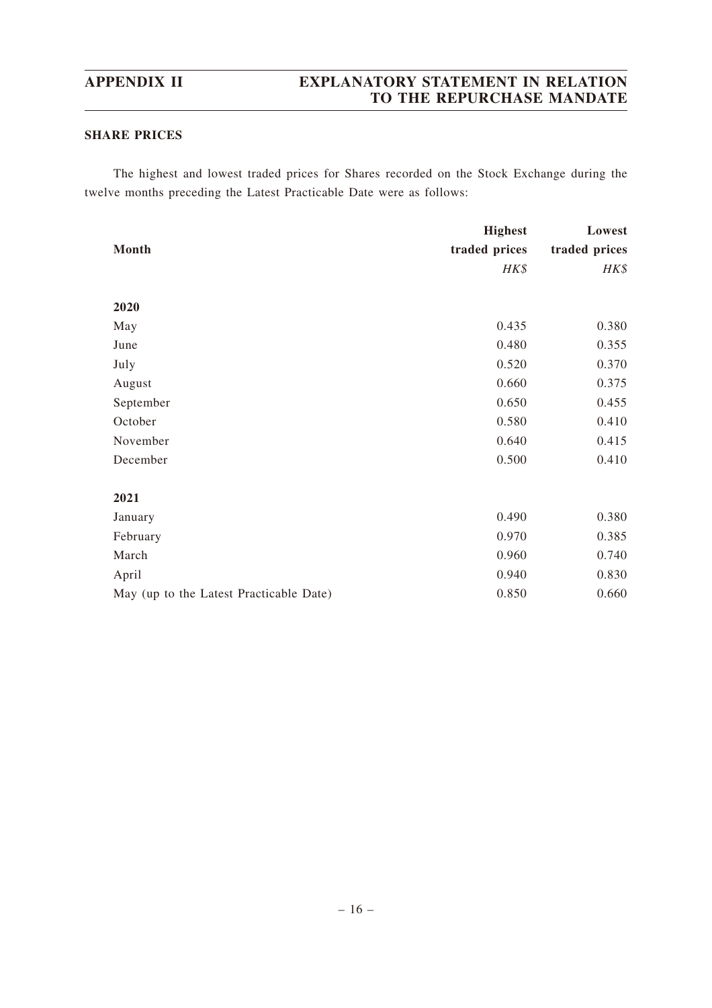# **SHARE PRICES**

The highest and lowest traded prices for Shares recorded on the Stock Exchange during the twelve months preceding the Latest Practicable Date were as follows:

|                                         | <b>Highest</b> | Lowest        |
|-----------------------------------------|----------------|---------------|
| Month                                   | traded prices  | traded prices |
|                                         | HK\$           | HK\$          |
|                                         |                |               |
| 2020                                    |                |               |
| May                                     | 0.435          | 0.380         |
| June                                    | 0.480          | 0.355         |
| July                                    | 0.520          | 0.370         |
| August                                  | 0.660          | 0.375         |
| September                               | 0.650          | 0.455         |
| October                                 | 0.580          | 0.410         |
| November                                | 0.640          | 0.415         |
| December                                | 0.500          | 0.410         |
|                                         |                |               |
| 2021                                    |                |               |
| January                                 | 0.490          | 0.380         |
| February                                | 0.970          | 0.385         |
| March                                   | 0.960          | 0.740         |
| April                                   | 0.940          | 0.830         |
| May (up to the Latest Practicable Date) | 0.850          | 0.660         |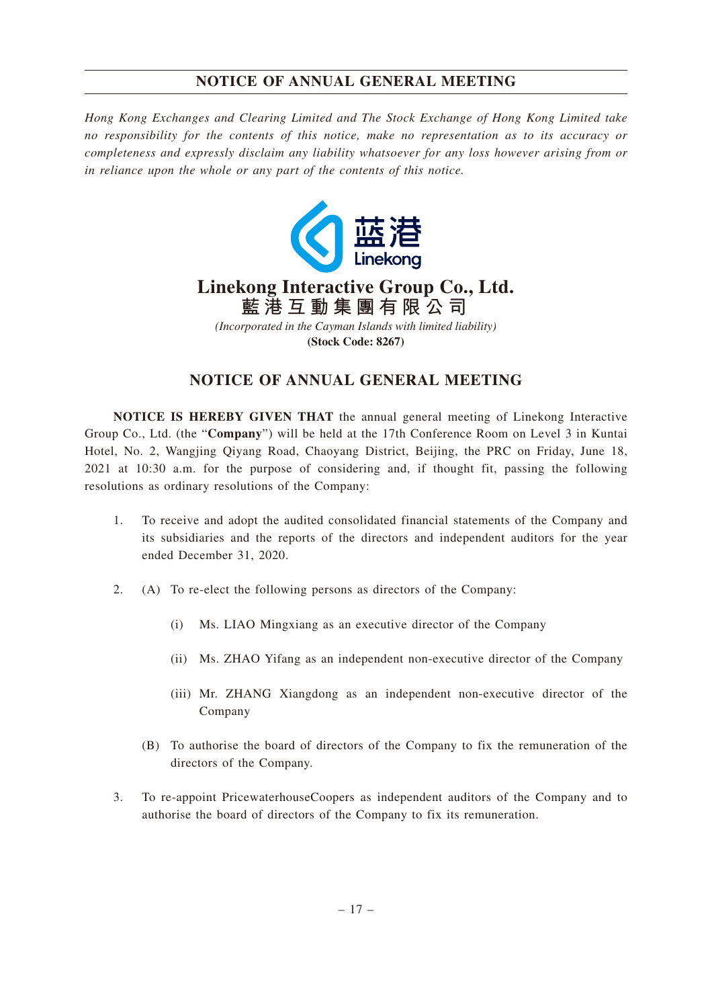*Hong Kong Exchanges and Clearing Limited and The Stock Exchange of Hong Kong Limited take no responsibility for the contents of this notice, make no representation as to its accuracy or completeness and expressly disclaim any liability whatsoever for any loss however arising from or in reliance upon the whole or any part of the contents of this notice.*



# **Linekong Interactive Group Co., Ltd. 藍港互動集團有限公司**

*(Incorporated in the Cayman Islands with limited liability)* **(Stock Code: 8267)**

# **NOTICE OF ANNUAL GENERAL MEETING**

**NOTICE IS HEREBY GIVEN THAT** the annual general meeting of Linekong Interactive Group Co., Ltd. (the "**Company**") will be held at the 17th Conference Room on Level 3 in Kuntai Hotel, No. 2, Wangjing Qiyang Road, Chaoyang District, Beijing, the PRC on Friday, June 18, 2021 at 10:30 a.m. for the purpose of considering and, if thought fit, passing the following resolutions as ordinary resolutions of the Company:

- 1. To receive and adopt the audited consolidated financial statements of the Company and its subsidiaries and the reports of the directors and independent auditors for the year ended December 31, 2020.
- 2. (A) To re-elect the following persons as directors of the Company:
	- (i) Ms. LIAO Mingxiang as an executive director of the Company
	- (ii) Ms. ZHAO Yifang as an independent non-executive director of the Company
	- (iii) Mr. ZHANG Xiangdong as an independent non-executive director of the Company
	- (B) To authorise the board of directors of the Company to fix the remuneration of the directors of the Company.
- 3. To re-appoint PricewaterhouseCoopers as independent auditors of the Company and to authorise the board of directors of the Company to fix its remuneration.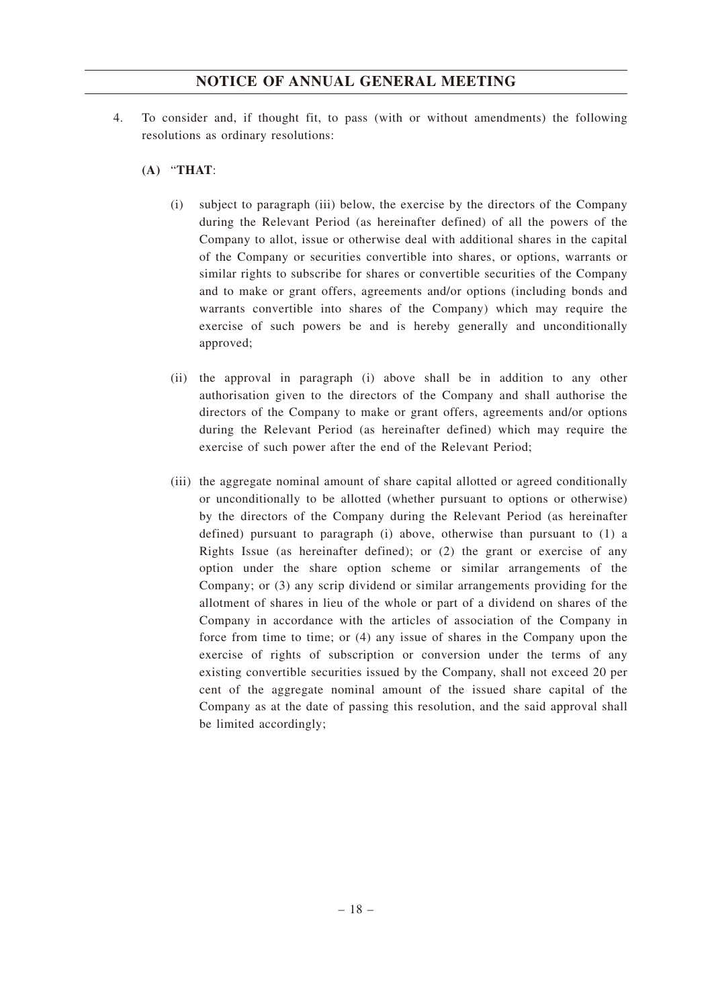- 4. To consider and, if thought fit, to pass (with or without amendments) the following resolutions as ordinary resolutions:
	- **(A)** "**THAT**:
		- (i) subject to paragraph (iii) below, the exercise by the directors of the Company during the Relevant Period (as hereinafter defined) of all the powers of the Company to allot, issue or otherwise deal with additional shares in the capital of the Company or securities convertible into shares, or options, warrants or similar rights to subscribe for shares or convertible securities of the Company and to make or grant offers, agreements and/or options (including bonds and warrants convertible into shares of the Company) which may require the exercise of such powers be and is hereby generally and unconditionally approved;
		- (ii) the approval in paragraph (i) above shall be in addition to any other authorisation given to the directors of the Company and shall authorise the directors of the Company to make or grant offers, agreements and/or options during the Relevant Period (as hereinafter defined) which may require the exercise of such power after the end of the Relevant Period;
		- (iii) the aggregate nominal amount of share capital allotted or agreed conditionally or unconditionally to be allotted (whether pursuant to options or otherwise) by the directors of the Company during the Relevant Period (as hereinafter defined) pursuant to paragraph (i) above, otherwise than pursuant to (1) a Rights Issue (as hereinafter defined); or (2) the grant or exercise of any option under the share option scheme or similar arrangements of the Company; or (3) any scrip dividend or similar arrangements providing for the allotment of shares in lieu of the whole or part of a dividend on shares of the Company in accordance with the articles of association of the Company in force from time to time; or (4) any issue of shares in the Company upon the exercise of rights of subscription or conversion under the terms of any existing convertible securities issued by the Company, shall not exceed 20 per cent of the aggregate nominal amount of the issued share capital of the Company as at the date of passing this resolution, and the said approval shall be limited accordingly;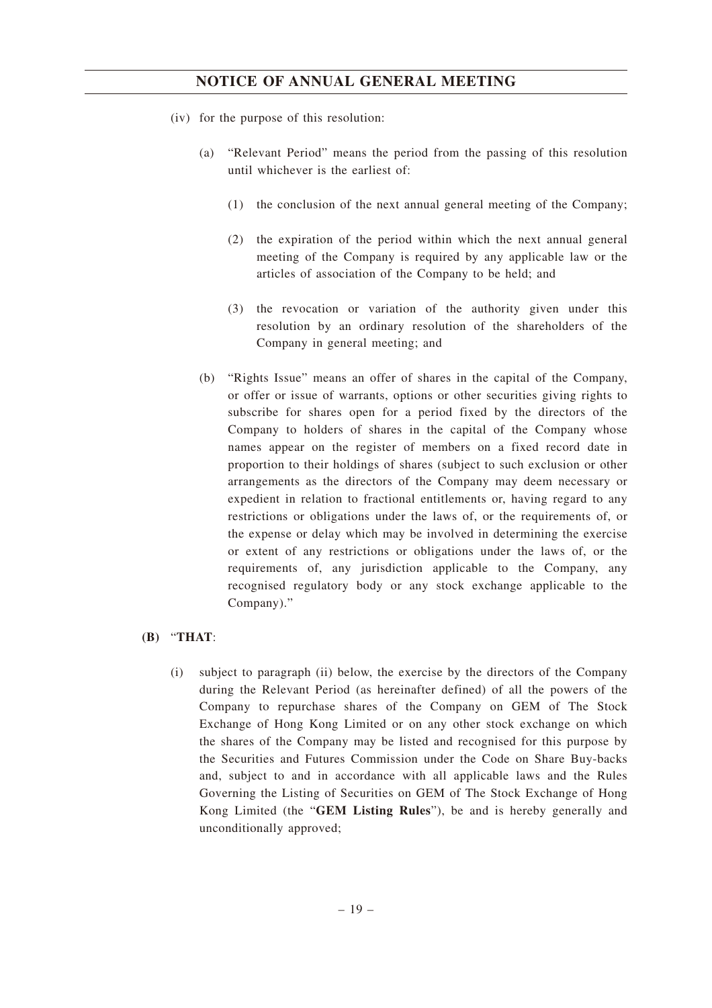- (iv) for the purpose of this resolution:
	- (a) "Relevant Period" means the period from the passing of this resolution until whichever is the earliest of:
		- (1) the conclusion of the next annual general meeting of the Company;
		- (2) the expiration of the period within which the next annual general meeting of the Company is required by any applicable law or the articles of association of the Company to be held; and
		- (3) the revocation or variation of the authority given under this resolution by an ordinary resolution of the shareholders of the Company in general meeting; and
	- (b) "Rights Issue" means an offer of shares in the capital of the Company, or offer or issue of warrants, options or other securities giving rights to subscribe for shares open for a period fixed by the directors of the Company to holders of shares in the capital of the Company whose names appear on the register of members on a fixed record date in proportion to their holdings of shares (subject to such exclusion or other arrangements as the directors of the Company may deem necessary or expedient in relation to fractional entitlements or, having regard to any restrictions or obligations under the laws of, or the requirements of, or the expense or delay which may be involved in determining the exercise or extent of any restrictions or obligations under the laws of, or the requirements of, any jurisdiction applicable to the Company, any recognised regulatory body or any stock exchange applicable to the Company)."

# **(B)** "**THAT**:

(i) subject to paragraph (ii) below, the exercise by the directors of the Company during the Relevant Period (as hereinafter defined) of all the powers of the Company to repurchase shares of the Company on GEM of The Stock Exchange of Hong Kong Limited or on any other stock exchange on which the shares of the Company may be listed and recognised for this purpose by the Securities and Futures Commission under the Code on Share Buy-backs and, subject to and in accordance with all applicable laws and the Rules Governing the Listing of Securities on GEM of The Stock Exchange of Hong Kong Limited (the "**GEM Listing Rules**"), be and is hereby generally and unconditionally approved;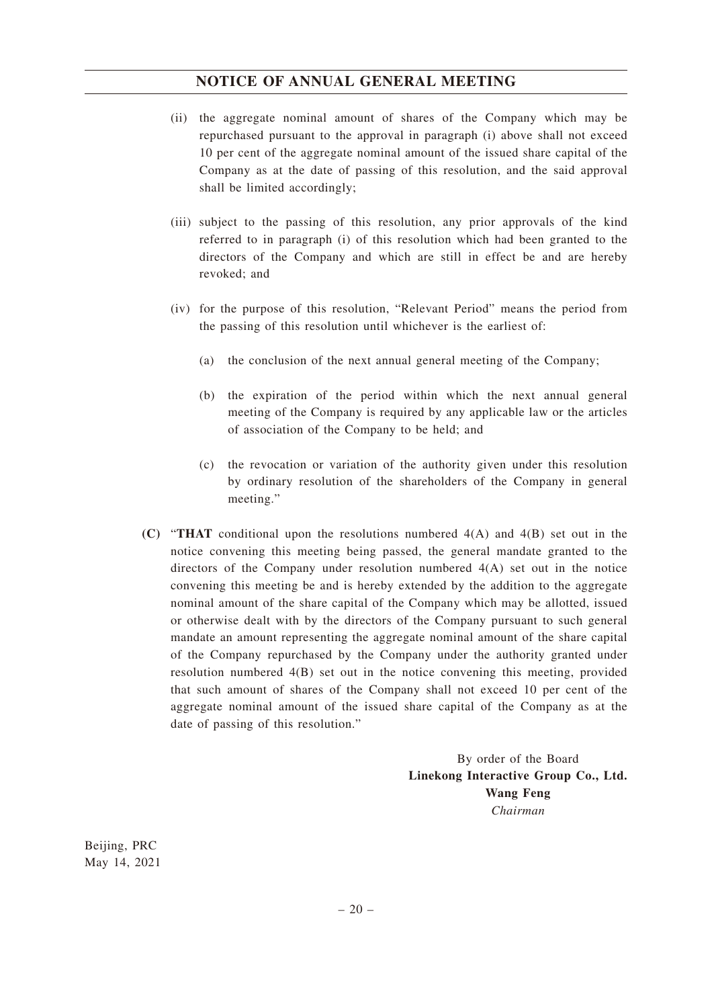- (ii) the aggregate nominal amount of shares of the Company which may be repurchased pursuant to the approval in paragraph (i) above shall not exceed 10 per cent of the aggregate nominal amount of the issued share capital of the Company as at the date of passing of this resolution, and the said approval shall be limited accordingly;
- (iii) subject to the passing of this resolution, any prior approvals of the kind referred to in paragraph (i) of this resolution which had been granted to the directors of the Company and which are still in effect be and are hereby revoked; and
- (iv) for the purpose of this resolution, "Relevant Period" means the period from the passing of this resolution until whichever is the earliest of:
	- (a) the conclusion of the next annual general meeting of the Company;
	- (b) the expiration of the period within which the next annual general meeting of the Company is required by any applicable law or the articles of association of the Company to be held; and
	- (c) the revocation or variation of the authority given under this resolution by ordinary resolution of the shareholders of the Company in general meeting."
- **(C)** "**THAT** conditional upon the resolutions numbered 4(A) and 4(B) set out in the notice convening this meeting being passed, the general mandate granted to the directors of the Company under resolution numbered 4(A) set out in the notice convening this meeting be and is hereby extended by the addition to the aggregate nominal amount of the share capital of the Company which may be allotted, issued or otherwise dealt with by the directors of the Company pursuant to such general mandate an amount representing the aggregate nominal amount of the share capital of the Company repurchased by the Company under the authority granted under resolution numbered 4(B) set out in the notice convening this meeting, provided that such amount of shares of the Company shall not exceed 10 per cent of the aggregate nominal amount of the issued share capital of the Company as at the date of passing of this resolution."

By order of the Board **Linekong Interactive Group Co., Ltd. Wang Feng** *Chairman*

Beijing, PRC May 14, 2021